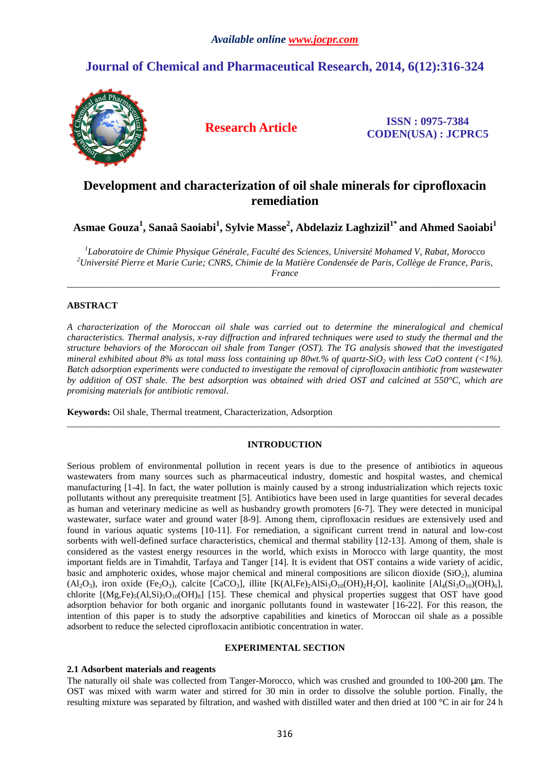# **Journal of Chemical and Pharmaceutical Research, 2014, 6(12):316-324**



**Research Article ISSN : 0975-7384 CODEN(USA) : JCPRC5**

# **Development and characterization of oil shale minerals for ciprofloxacin remediation**

**Asmae Gouza<sup>1</sup> , Sanaâ Saoiabi<sup>1</sup> , Sylvie Masse<sup>2</sup> , Abdelaziz Laghzizil1\* and Ahmed Saoiabi<sup>1</sup>**

*1 Laboratoire de Chimie Physique Générale, Faculté des Sciences, Université Mohamed V, Rabat, Morocco <sup>2</sup>Université Pierre et Marie Curie; CNRS, Chimie de la Matière Condensée de Paris, Collège de France, Paris, France* 

\_\_\_\_\_\_\_\_\_\_\_\_\_\_\_\_\_\_\_\_\_\_\_\_\_\_\_\_\_\_\_\_\_\_\_\_\_\_\_\_\_\_\_\_\_\_\_\_\_\_\_\_\_\_\_\_\_\_\_\_\_\_\_\_\_\_\_\_\_\_\_\_\_\_\_\_\_\_\_\_\_\_\_\_\_\_\_\_\_\_\_\_\_

# **ABSTRACT**

*A characterization of the Moroccan oil shale was carried out to determine the mineralogical and chemical characteristics. Thermal analysis, x-ray diffraction and infrared techniques were used to study the thermal and the structure behaviors of the Moroccan oil shale from Tanger (OST). The TG analysis showed that the investigated mineral exhibited about 8% as total mass loss containing up 80wt.% of quartz-SiO<sub>2</sub> with less CaO content (<1%). Batch adsorption experiments were conducted to investigate the removal of ciprofloxacin antibiotic from wastewater by addition of OST shale. The best adsorption was obtained with dried OST and calcined at 550°C, which are promising materials for antibiotic removal*.

**Keywords:** Oil shale, Thermal treatment, Characterization, Adsorption

# **INTRODUCTION**

\_\_\_\_\_\_\_\_\_\_\_\_\_\_\_\_\_\_\_\_\_\_\_\_\_\_\_\_\_\_\_\_\_\_\_\_\_\_\_\_\_\_\_\_\_\_\_\_\_\_\_\_\_\_\_\_\_\_\_\_\_\_\_\_\_\_\_\_\_\_\_\_\_\_\_\_\_\_\_\_\_\_\_\_\_\_\_\_\_\_\_\_\_

Serious problem of environmental pollution in recent years is due to the presence of antibiotics in aqueous wastewaters from many sources such as pharmaceutical industry, domestic and hospital wastes, and chemical manufacturing [1-4]. In fact, the water pollution is mainly caused by a strong industrialization which rejects toxic pollutants without any prerequisite treatment [5]. Antibiotics have been used in large quantities for several decades as human and veterinary medicine as well as husbandry growth promoters [6-7]. They were detected in municipal wastewater, surface water and ground water [8-9]. Among them, ciprofloxacin residues are extensively used and found in various aquatic systems [10-11]. For remediation, a significant current trend in natural and low-cost sorbents with well-defined surface characteristics, chemical and thermal stability [12-13]. Among of them, shale is considered as the vastest energy resources in the world, which exists in Morocco with large quantity, the most important fields are in Timahdit, Tarfaya and Tanger [14]. It is evident that OST contains a wide variety of acidic, basic and amphoteric oxides, whose major chemical and mineral compositions are silicon dioxide (SiO<sub>2</sub>), alumina (Al<sub>2</sub>O<sub>3</sub>), iron oxide (Fe<sub>2</sub>O<sub>3</sub>), calcite [CaCO<sub>3</sub>], illite [K(Al,Fe)<sub>2</sub>AlSi<sub>3</sub>O<sub>10</sub>(OH)<sub>2</sub>H<sub>2</sub>O], kaolinite [Al<sub>4</sub>(Si<sub>3</sub>O<sub>10</sub>)(OH)<sub>6</sub>], chlorite  $[(Mg,Fe)_5(Al,Si)_5O_{10}(OH)_8]$  [15]. These chemical and physical properties suggest that OST have good adsorption behavior for both organic and inorganic pollutants found in wastewater [16-22]. For this reason, the intention of this paper is to study the adsorptive capabilities and kinetics of Moroccan oil shale as a possible adsorbent to reduce the selected ciprofloxacin antibiotic concentration in water.

## **EXPERIMENTAL SECTION**

### **2.1 Adsorbent materials and reagents**

The naturally oil shale was collected from Tanger-Morocco, which was crushed and grounded to 100-200 µm. The OST was mixed with warm water and stirred for 30 min in order to dissolve the soluble portion. Finally, the resulting mixture was separated by filtration, and washed with distilled water and then dried at 100 °C in air for 24 h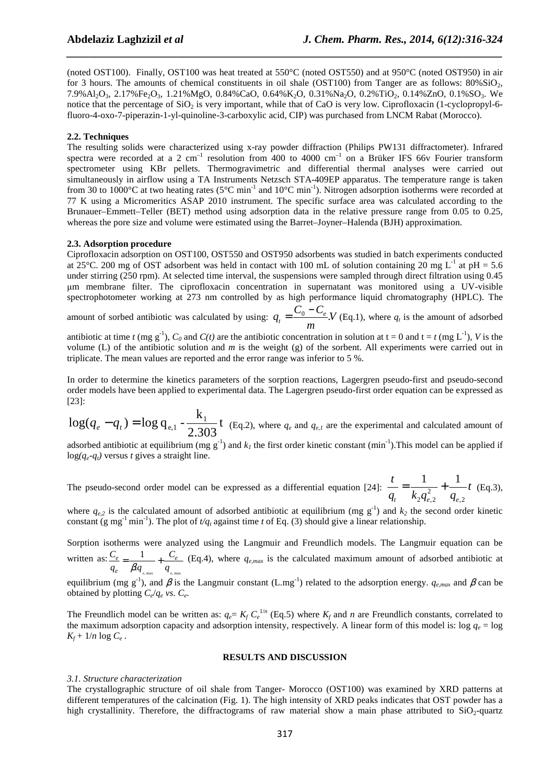(noted OST100). Finally, OST100 was heat treated at 550°C (noted OST550) and at 950°C (noted OST950) in air for 3 hours. The amounts of chemical constituents in oil shale (OST100) from Tanger are as follows:  $80\%SiO<sub>2</sub>$ , 7.9%Al2O3, 2.17%Fe2O3, 1.21%MgO, 0.84%CaO, 0.64%K2O, 0.31%Na2O, 0.2%TiO2, 0.14%ZnO, 0.1%SO3. We notice that the percentage of  $SiO<sub>2</sub>$  is very important, while that of CaO is very low. Ciprofloxacin (1-cyclopropyl-6fluoro-4-oxo-7-piperazin-1-yl-quinoline-3-carboxylic acid, CIP) was purchased from LNCM Rabat (Morocco).

*\_\_\_\_\_\_\_\_\_\_\_\_\_\_\_\_\_\_\_\_\_\_\_\_\_\_\_\_\_\_\_\_\_\_\_\_\_\_\_\_\_\_\_\_\_\_\_\_\_\_\_\_\_\_\_\_\_\_\_\_\_\_\_\_\_\_\_\_\_\_\_\_\_\_\_\_\_\_*

# **2.2. Techniques**

The resulting solids were characterized using x-ray powder diffraction (Philips PW131 diffractometer). Infrared spectra were recorded at a 2 cm<sup>-1</sup> resolution from 400 to 4000 cm<sup>-1</sup> on a Brüker IFS 66v Fourier transform spectrometer using KBr pellets. Thermogravimetric and differential thermal analyses were carried out simultaneously in airflow using a TA Instruments Netzsch STA-409EP apparatus. The temperature range is taken from 30 to 1000 $^{\circ}$ C at two heating rates (5 $^{\circ}$ C min<sup>-1</sup> and 10 $^{\circ}$ C min<sup>-1</sup>). Nitrogen adsorption isotherms were recorded at 77 K using a Micromeritics ASAP 2010 instrument. The specific surface area was calculated according to the Brunauer–Emmett–Teller (BET) method using adsorption data in the relative pressure range from 0.05 to 0.25, whereas the pore size and volume were estimated using the Barret–Joyner–Halenda (BJH) approximation.

### **2.3. Adsorption procedure**

Ciprofloxacin adsorption on OST100, OST550 and OST950 adsorbents was studied in batch experiments conducted at 25°C. 200 mg of OST adsorbent was held in contact with 100 mL of solution containing 20 mg  $L^{-1}$  at pH = 5.6 under stirring (250 rpm). At selected time interval, the suspensions were sampled through direct filtration using 0.45 µm membrane filter. The ciprofloxacin concentration in supernatant was monitored using a UV-visible spectrophotometer working at 273 nm controlled by as high performance liquid chromatography (HPLC). The

amount of sorbed antibiotic was calculated by using:  $q_t = \frac{C_0 - C_e}{c}$ . *m*  $q_t = \frac{C_0 - C_e}{\epsilon}$  *V* (Eq.1), where  $q_t$  is the amount of adsorbed

antibiotic at time *t* (mg g<sup>-1</sup>),  $C_0$  and  $C(t)$  are the antibiotic concentration in solution at  $t = 0$  and  $t = t$  (mg L<sup>-1</sup>), *V* is the volume (L) of the antibiotic solution and *m* is the weight (g) of the sorbent. All experiments were carried out in triplicate. The mean values are reported and the error range was inferior to 5 %.

In order to determine the kinetics parameters of the sorption reactions, Lagergren pseudo-first and pseudo-second order models have been applied to experimental data. The Lagergren pseudo-first order equation can be expressed as [23]:

$$
\log(q_e - q_t) = \log q_{e,1} - \frac{k_1}{2.303}t
$$
 (Eq.2), where  $q_e$  and  $q_{e,1}$  are the experimental and calculated amount of

adsorbed antibiotic at equilibrium (mg  $g^{-1}$ ) and  $k_I$  the first order kinetic constant (min<sup>-1</sup>). This model can be applied if  $log(q_e - q_t)$  versus *t* gives a straight line.

The pseudo-second order model can be expressed as a differential equation [24]:  $\frac{t}{1} = \frac{1}{1} + \frac{1}{1}$ 2, 2  $2$ Че,2 *t*  $q_t$   $k_2 q_{e,2}^2$  *q t t*  $\kappa_2 \mathbf{y}_{e,2}$   $\mathbf{y}_e$  $=\frac{1}{1}$  +  $\frac{1}{2}$  +  $\frac{1}{2}$  (Eq.3),

where  $q_{e,2}$  is the calculated amount of adsorbed antibiotic at equilibrium (mg  $g^{-1}$ ) and  $k_2$  the second order kinetic constant (g mg<sup>-1</sup> min<sup>-1</sup>). The plot of  $t/q_t$  against time *t* of Eq. (3) should give a linear relationship.

Sorption isotherms were analyzed using the Langmuir and Freundlich models. The Langmuir equation can be written as: *Ce*  $\frac{C_e}{q_e} = \frac{1}{\beta q_e}$  $\beta$ . $q_{_{e,\, {\rm max}}}$  $+\frac{C_e}{\sqrt{C_e}}$ *q e*, max (Eq.4), where  $q_{e,max}$  is the calculated maximum amount of adsorbed antibiotic at

equilibrium (mg g<sup>-1</sup>), and  $\beta$  is the Langmuir constant (L.mg<sup>-1</sup>) related to the adsorption energy.  $q_{e,max}$  and  $\beta$  can be obtained by plotting  $C_e/q_e$  *vs.*  $C_e$ .

The Freundlich model can be written as:  $q_e = K_f C_e^{-1/n}$  (Eq.5) where  $K_f$  and *n* are Freundlich constants, correlated to the maximum adsorption capacity and adsorption intensity, respectively. A linear form of this model is: log  $q_e = \log$  $K_f$  + 1/*n* log  $C_e$ .

### **RESULTS AND DISCUSSION**

#### *3.1. Structure characterization*

The crystallographic structure of oil shale from Tanger- Morocco (OST100) was examined by XRD patterns at different temperatures of the calcination (Fig. 1). The high intensity of XRD peaks indicates that OST powder has a high crystallinity. Therefore, the diffractograms of raw material show a main phase attributed to  $SiO<sub>2</sub>$ -quartz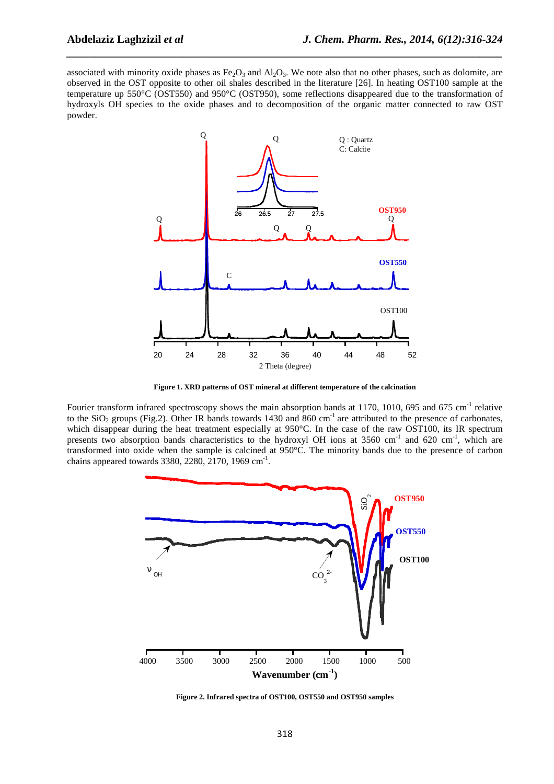associated with minority oxide phases as  $Fe<sub>2</sub>O<sub>3</sub>$  and  $Al<sub>2</sub>O<sub>3</sub>$ . We note also that no other phases, such as dolomite, are observed in the OST opposite to other oil shales described in the literature [26]. In heating OST100 sample at the temperature up 550°C (OST550) and 950°C (OST950), some reflections disappeared due to the transformation of hydroxyls OH species to the oxide phases and to decomposition of the organic matter connected to raw OST powder.

*\_\_\_\_\_\_\_\_\_\_\_\_\_\_\_\_\_\_\_\_\_\_\_\_\_\_\_\_\_\_\_\_\_\_\_\_\_\_\_\_\_\_\_\_\_\_\_\_\_\_\_\_\_\_\_\_\_\_\_\_\_\_\_\_\_\_\_\_\_\_\_\_\_\_\_\_\_\_*



**Figure 1. XRD patterns of OST mineral at different temperature of the calcination** 

Fourier transform infrared spectroscopy shows the main absorption bands at 1170, 1010, 695 and 675 cm<sup>-1</sup> relative to the SiO<sub>2</sub> groups (Fig.2). Other IR bands towards 1430 and 860 cm<sup>-1</sup> are attributed to the presence of carbonates, which disappear during the heat treatment especially at 950°C. In the case of the raw OST100, its IR spectrum presents two absorption bands characteristics to the hydroxyl OH ions at  $3560 \text{ cm}^{-1}$  and  $620 \text{ cm}^{-1}$ , which are transformed into oxide when the sample is calcined at 950°C. The minority bands due to the presence of carbon chains appeared towards  $3380, 2280, 2170, 1969$  cm<sup>-1</sup>.



**Figure 2. Infrared spectra of OST100, OST550 and OST950 samples**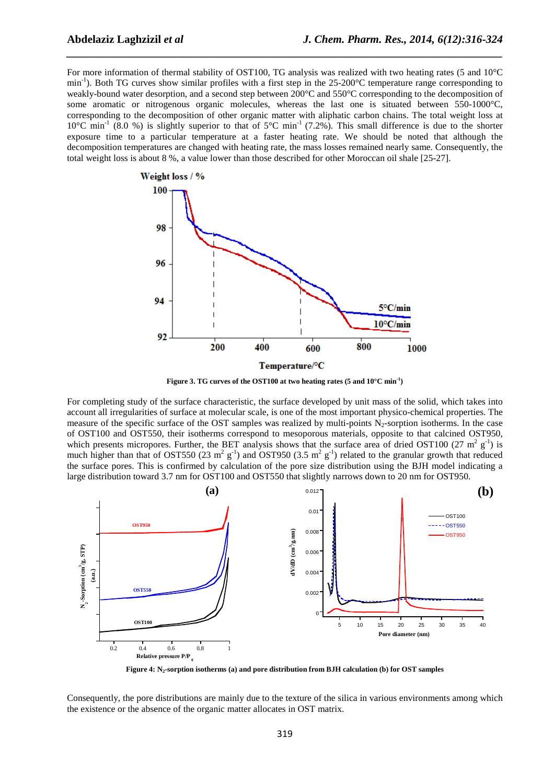For more information of thermal stability of OST100, TG analysis was realized with two heating rates (5 and 10°C min<sup>-1</sup>). Both TG curves show similar profiles with a first step in the  $25{\text -}200^{\circ}$ C temperature range corresponding to weakly-bound water desorption, and a second step between 200°C and 550°C corresponding to the decomposition of some aromatic or nitrogenous organic molecules, whereas the last one is situated between 550-1000°C, corresponding to the decomposition of other organic matter with aliphatic carbon chains. The total weight loss at  $10^{\circ}$ C min<sup>-1</sup> (8.0 %) is slightly superior to that of 5°C min<sup>-1</sup> (7.2%). This small difference is due to the shorter exposure time to a particular temperature at a faster heating rate. We should be noted that although the decomposition temperatures are changed with heating rate, the mass losses remained nearly same. Consequently, the total weight loss is about 8 %, a value lower than those described for other Moroccan oil shale [25-27].

*\_\_\_\_\_\_\_\_\_\_\_\_\_\_\_\_\_\_\_\_\_\_\_\_\_\_\_\_\_\_\_\_\_\_\_\_\_\_\_\_\_\_\_\_\_\_\_\_\_\_\_\_\_\_\_\_\_\_\_\_\_\_\_\_\_\_\_\_\_\_\_\_\_\_\_\_\_\_*



**Figure 3. TG curves of the OST100 at two heating rates (5 and 10°C min-1)** 

For completing study of the surface characteristic, the surface developed by unit mass of the solid, which takes into account all irregularities of surface at molecular scale, is one of the most important physico-chemical properties. The measure of the specific surface of the OST samples was realized by multi-points  $N<sub>2</sub>$ -sorption isotherms. In the case of OST100 and OST550, their isotherms correspond to mesoporous materials, opposite to that calcined OST950, which presents micropores. Further, the BET analysis shows that the surface area of dried OST100 (27 m<sup>2</sup>  $g^{-1}$ ) is much higher than that of OST550 (23 m<sup>2</sup> g<sup>-1</sup>) and OST950 (3.5 m<sup>2</sup> g<sup>-1</sup>) related to the granular growth that reduced the surface pores. This is confirmed by calculation of the pore size distribution using the BJH model indicating a large distribution toward 3.7 nm for OST100 and OST550 that slightly narrows down to 20 nm for OST950.



**Figure 4: N2-sorption isotherms (a) and pore distribution from BJH calculation (b) for OST samples** 

Consequently, the pore distributions are mainly due to the texture of the silica in various environments among which the existence or the absence of the organic matter allocates in OST matrix.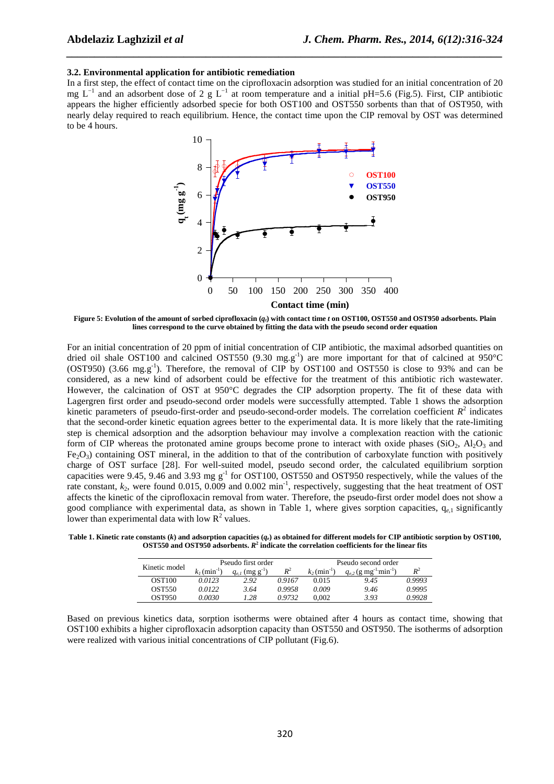#### **3.2. Environmental application for antibiotic remediation**

In a first step, the effect of contact time on the ciprofloxacin adsorption was studied for an initial concentration of 20 mg L<sup>-1</sup> and an adsorbent dose of 2 g L<sup>-1</sup> at room temperature and a initial pH=5.6 (Fig.5). First, CIP antibiotic appears the higher efficiently adsorbed specie for both OST100 and OST550 sorbents than that of OST950, with nearly delay required to reach equilibrium. Hence, the contact time upon the CIP removal by OST was determined to be 4 hours.

*\_\_\_\_\_\_\_\_\_\_\_\_\_\_\_\_\_\_\_\_\_\_\_\_\_\_\_\_\_\_\_\_\_\_\_\_\_\_\_\_\_\_\_\_\_\_\_\_\_\_\_\_\_\_\_\_\_\_\_\_\_\_\_\_\_\_\_\_\_\_\_\_\_\_\_\_\_\_*



**Figure 5: Evolution of the amount of sorbed ciprofloxacin (***qt***) with contact time** *t* **on OST100, OST550 and OST950 adsorbents. Plain lines correspond to the curve obtained by fitting the data with the pseudo second order equation** 

For an initial concentration of 20 ppm of initial concentration of CIP antibiotic, the maximal adsorbed quantities on dried oil shale OST100 and calcined OST550 (9.30 mg.g<sup>-1</sup>) are more important for that of calcined at 950°C  $(OST950)$  (3.66 mg.g<sup>-1</sup>). Therefore, the removal of CIP by OST100 and OST550 is close to 93% and can be considered, as a new kind of adsorbent could be effective for the treatment of this antibiotic rich wastewater. However, the calcination of OST at 950°C degrades the CIP adsorption property. The fit of these data with Lagergren first order and pseudo-second order models were successfully attempted. Table 1 shows the adsorption kinetic parameters of pseudo-first-order and pseudo-second-order models. The correlation coefficient  $R^2$  indicates that the second-order kinetic equation agrees better to the experimental data. It is more likely that the rate-limiting step is chemical adsorption and the adsorption behaviour may involve a complexation reaction with the cationic form of CIP whereas the protonated amine groups become prone to interact with oxide phases (SiO<sub>2</sub>, Al<sub>2</sub>O<sub>3</sub> and  $Fe_2O_3$ ) containing OST mineral, in the addition to that of the contribution of carboxylate function with positively charge of OST surface [28]. For well-suited model, pseudo second order, the calculated equilibrium sorption capacities were 9.45, 9.46 and 3.93 mg g<sup>-1</sup> for OST100, OST550 and OST950 respectively, while the values of the rate constant,  $k_2$ , were found 0.015, 0.009 and 0.002 min<sup>-1</sup>, respectively, suggesting that the heat treatment of OST affects the kinetic of the ciprofloxacin removal from water. Therefore, the pseudo-first order model does not show a good compliance with experimental data, as shown in Table 1, where gives sorption capacities, q*e*,1 significantly lower than experimental data with low  $R^2$  values.

**Table 1. Kinetic rate constants (***k***) and adsorption capacities (***qe***) as obtained for different models for CIP antibiotic sorption by OST100, OST550 and OST950 adsorbents.** *R* **2 indicate the correlation coefficients for the linear fits** 

| Kinetic model | Pseudo first order         |                                 |        | Pseudo second order        |                                                   |        |
|---------------|----------------------------|---------------------------------|--------|----------------------------|---------------------------------------------------|--------|
|               | $k_1$ (min <sup>-1</sup> ) | $q_{e,l}$ (mg g <sup>-1</sup> ) | $R^2$  | $k_2$ (min <sup>-1</sup> ) | $q_{e,2}$ (g mg <sup>-1</sup> min <sup>-1</sup> ) | $R^2$  |
| <b>OST100</b> | 0.0123                     | 2.92                            | 0.9167 | 0.015                      | 9.45                                              | 0.9993 |
| <b>OST550</b> | 0.0122                     | 3.64                            | 0.9958 | 0.009                      | 9.46                                              | 0.9995 |
| OST950        | 0.0030                     | 1.28                            | 0.9732 | 0.002                      | 3.93                                              | 0.9928 |

Based on previous kinetics data, sorption isotherms were obtained after 4 hours as contact time, showing that OST100 exhibits a higher ciprofloxacin adsorption capacity than OST550 and OST950. The isotherms of adsorption were realized with various initial concentrations of CIP pollutant (Fig.6).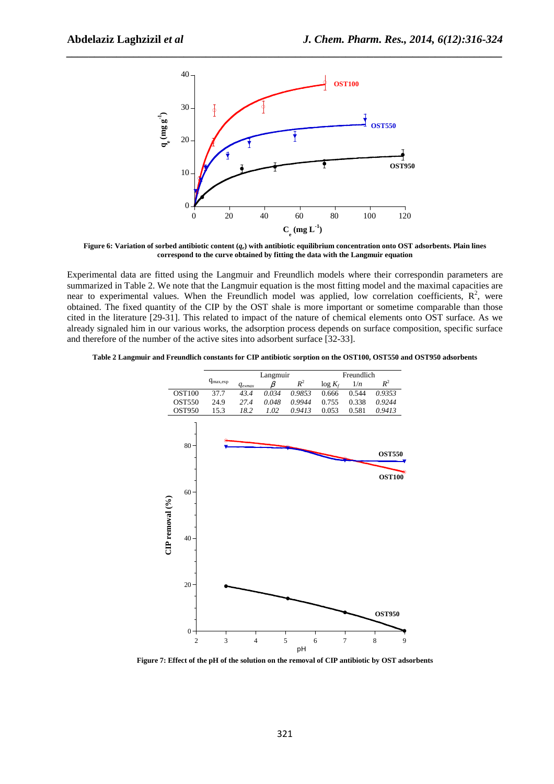

*\_\_\_\_\_\_\_\_\_\_\_\_\_\_\_\_\_\_\_\_\_\_\_\_\_\_\_\_\_\_\_\_\_\_\_\_\_\_\_\_\_\_\_\_\_\_\_\_\_\_\_\_\_\_\_\_\_\_\_\_\_\_\_\_\_\_\_\_\_\_\_\_\_\_\_\_\_\_*

**Figure 6: Variation of sorbed antibiotic content (***qe***) with antibiotic equilibrium concentration onto OST adsorbents. Plain lines correspond to the curve obtained by fitting the data with the Langmuir equation** 

Experimental data are fitted using the Langmuir and Freundlich models where their correspondin parameters are summarized in Table 2. We note that the Langmuir equation is the most fitting model and the maximal capacities are near to experimental values. When the Freundlich model was applied, low correlation coefficients,  $\mathbb{R}^2$ , were obtained. The fixed quantity of the CIP by the OST shale is more important or sometime comparable than those cited in the literature [29-31]. This related to impact of the nature of chemical elements onto OST surface. As we already signaled him in our various works, the adsorption process depends on surface composition, specific surface and therefore of the number of the active sites into adsorbent surface [32-33].

**Table 2 Langmuir and Freundlich constants for CIP antibiotic sorption on the OST100, OST550 and OST950 adsorbents** 



**Figure 7: Effect of the pH of the solution on the removal of CIP antibiotic by OST adsorbents**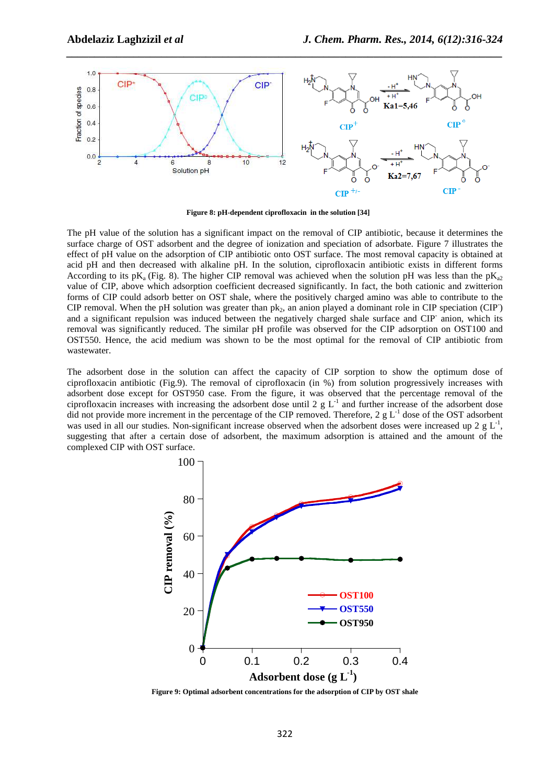

*\_\_\_\_\_\_\_\_\_\_\_\_\_\_\_\_\_\_\_\_\_\_\_\_\_\_\_\_\_\_\_\_\_\_\_\_\_\_\_\_\_\_\_\_\_\_\_\_\_\_\_\_\_\_\_\_\_\_\_\_\_\_\_\_\_\_\_\_\_\_\_\_\_\_\_\_\_\_*

**Figure 8: pH-dependent ciprofloxacin in the solution [34]** 

The pH value of the solution has a significant impact on the removal of CIP antibiotic, because it determines the surface charge of OST adsorbent and the degree of ionization and speciation of adsorbate. Figure 7 illustrates the effect of pH value on the adsorption of CIP antibiotic onto OST surface. The most removal capacity is obtained at acid pH and then decreased with alkaline pH. In the solution, ciprofloxacin antibiotic exists in different forms According to its pK<sub>a</sub> (Fig. 8). The higher CIP removal was achieved when the solution pH was less than the pK<sub>a2</sub> value of CIP, above which adsorption coefficient decreased significantly. In fact, the both cationic and zwitterion forms of CIP could adsorb better on OST shale, where the positively charged amino was able to contribute to the CIP removal. When the pH solution was greater than  $pk_2$ , an anion played a dominant role in CIP speciation (CIP) and a significant repulsion was induced between the negatively charged shale surface and CIP anion, which its removal was significantly reduced. The similar pH profile was observed for the CIP adsorption on OST100 and OST550. Hence, the acid medium was shown to be the most optimal for the removal of CIP antibiotic from wastewater.

The adsorbent dose in the solution can affect the capacity of CIP sorption to show the optimum dose of ciprofloxacin antibiotic (Fig.9). The removal of ciprofloxacin (in %) from solution progressively increases with adsorbent dose except for OST950 case. From the figure, it was observed that the percentage removal of the ciprofloxacin increases with increasing the adsorbent dose until 2 g  $L^{-1}$  and further increase of the adsorbent dose did not provide more increment in the percentage of the CIP removed. Therefore, 2 g  $L^{-1}$  dose of the OST adsorbent was used in all our studies. Non-significant increase observed when the adsorbent doses were increased up 2  $g L<sup>-1</sup>$ , suggesting that after a certain dose of adsorbent, the maximum adsorption is attained and the amount of the complexed CIP with OST surface.



**Figure 9: Optimal adsorbent concentrations for the adsorption of CIP by OST shale**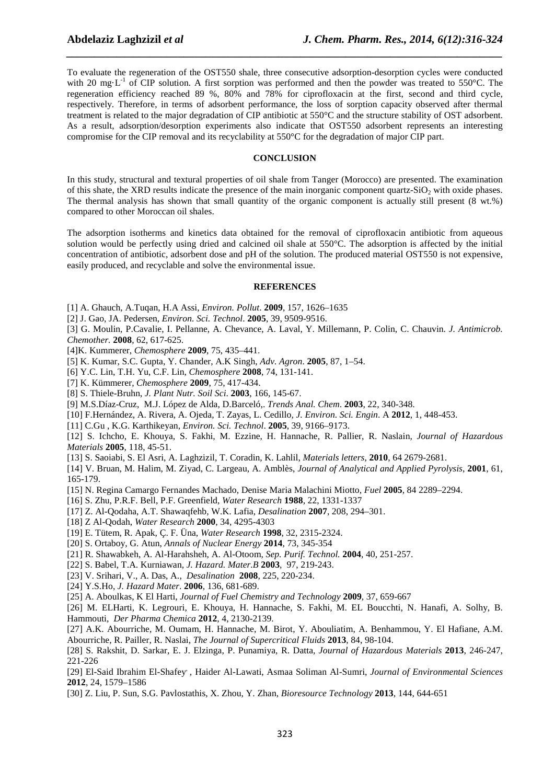To evaluate the regeneration of the OST550 shale, three consecutive adsorption-desorption cycles were conducted with 20 mg·L<sup>-1</sup> of CIP solution. A first sorption was performed and then the powder was treated to 550°C. The regeneration efficiency reached 89 %, 80% and 78% for ciprofloxacin at the first, second and third cycle, respectively. Therefore, in terms of adsorbent performance, the loss of sorption capacity observed after thermal treatment is related to the major degradation of CIP antibiotic at 550°C and the structure stability of OST adsorbent. As a result, adsorption/desorption experiments also indicate that OST550 adsorbent represents an interesting compromise for the CIP removal and its recyclability at 550°C for the degradation of major CIP part.

*\_\_\_\_\_\_\_\_\_\_\_\_\_\_\_\_\_\_\_\_\_\_\_\_\_\_\_\_\_\_\_\_\_\_\_\_\_\_\_\_\_\_\_\_\_\_\_\_\_\_\_\_\_\_\_\_\_\_\_\_\_\_\_\_\_\_\_\_\_\_\_\_\_\_\_\_\_\_*

# **CONCLUSION**

In this study, structural and textural properties of oil shale from Tanger (Morocco) are presented. The examination of this shate, the XRD results indicate the presence of the main inorganic component quartz- $SiO<sub>2</sub>$  with oxide phases. The thermal analysis has shown that small quantity of the organic component is actually still present (8 wt.%) compared to other Moroccan oil shales.

The adsorption isotherms and kinetics data obtained for the removal of ciprofloxacin antibiotic from aqueous solution would be perfectly using dried and calcined oil shale at 550°C. The adsorption is affected by the initial concentration of antibiotic, adsorbent dose and pH of the solution. The produced material OST550 is not expensive, easily produced, and recyclable and solve the environmental issue.

#### **REFERENCES**

- [1] A. Ghauch, A.Tuqan, H.A Assi, *Environ. Pollut*. **2009**, 157, 1626–1635
- [2] J. Gao, JA. Pedersen, *Environ. Sci. Technol*. **2005**, 39, 9509-9516.
- [3] G. Moulin, P.Cavalie, I. Pellanne, A. Chevance, A. Laval, Y. Millemann, P. Colin, C. Chauvin. *J. Antimicrob. Chemother.* **2008**, 62, 617-625.
- [4]K. Kummerer, *Chemosphere* **2009**, 75, 435–441.
- [5] K. Kumar, S.C. Gupta, Y. Chander, A.K Singh, *Adv. Agron*. **2005**, 87, 1–54.
- [6] Y.C. Lin, T.H. Yu, C.F. Lin, *Chemosphere* **2008**, 74, 131-141.
- [7] K. Kümmerer, *Chemosphere* **2009**, 75, 417-434.
- [8] S. Thiele-Bruhn, *J. Plant Nutr. Soil Sci*. **2003**, 166, 145-67.
- [9] M.S.Díaz-Cruz, M.J. López de Alda, D.Barceló,. *Trends Anal. Chem*. **2003**, 22, 340-348.
- [10] F.Hernández, A. Rivera, A. Ojeda, T. Zayas, L. Cedillo*, J. Environ. Sci. Engin*. A **2012**, 1, 448-453.
- [11] C.Gu , K.G. Karthikeyan, *Environ. Sci. Technol*. **2005**, 39, 9166–9173.
- [12] S. Ichcho, E. Khouya, S. Fakhi, M. Ezzine, H. Hannache, R. Pallier, R. Naslain, *Journal of Hazardous Materials* **2005**, 118, 45-51.
- [13] S. Saoiabi, S. El Asri, A. Laghzizil, T. Coradin, K. Lahlil, *Materials letters*, **2010**, 64 2679-2681.
- [14] V. Bruan, M. Halim, M. Ziyad, C. Largeau, A. Amblès, *Journal of Analytical and Applied Pyrolysis*, **2001**, 61, 165-179.
- [15] N. Regina Camargo Fernandes Machado, Denise Maria Malachini Miotto, *Fuel* **2005**, 84 2289–2294.
- [16] S. Zhu, P.R.F. Bell, P.F. Greenfield, *Water Research* **1988**, 22, 1331-1337
- [17] Z. Al-Qodaha, A.T. Shawaqfehb, W.K. Lafia, *Desalination* **2007**, 208, 294–301.
- [18] Z Al-Qodah, *Water Research* **2000**, 34, 4295-4303
- [19] E. Tütem, R. Apak, Ç. F. Üna, *Water Research* **1998**, 32, 2315-2324.
- [20] S. Ortaboy, G. Atun, *Annals of Nuclear Energy* **2014**, 73, 345-354
- [21] R. Shawabkeh, A. Al-Harahsheh, A. Al-Otoom, *Sep. Purif. Technol.* **2004**, 40, 251-257.
- [22] S. Babel, T.A. Kurniawan*, J. Hazard. Mater.B* **2003**, 97, 219-243.
- [23] V. Srihari, V., A. Das, A., *Desalination* **2008**, 225, 220-234.
- [24] Y.S.Ho, *J. Hazard Mater*. **2006**, 136, 681-689.

[25] A. Aboulkas, K El Harti, *Journal of Fuel Chemistry and Technology* **2009**, 37, 659-667

[26] M. ELHarti, K. Legrouri, E. Khouya, H. Hannache, S. Fakhi, M. EL Boucchti, N. Hanafi, A. Solhy, B. Hammouti, *Der Pharma Chemica* **2012**, 4, 2130-2139.

[27] A.K. Abourriche, M. Oumam, H. Hannache, M. Birot, Y. Abouliatim, A. Benhammou, Y. El Hafiane, A.M. Abourriche, R. Pailler, R. Naslai, *The Journal of Supercritical Fluids* **2013**, 84, 98-104.

[28] S. Rakshit, D. Sarkar, E. J. Elzinga, P. Punamiya, R. Datta, *Journal of Hazardous Materials* **2013**, 246-247, 221-226

[29] El-Said Ibrahim El-Shafey, , Haider Al-Lawati, Asmaa Soliman Al-Sumri, *Journal of Environmental Sciences* **2012**, 24, 1579–1586

[30] Z. Liu, P. Sun, S.G. Pavlostathis, X. Zhou, Y. Zhan, *Bioresource Technology* **2013**, 144, 644-651